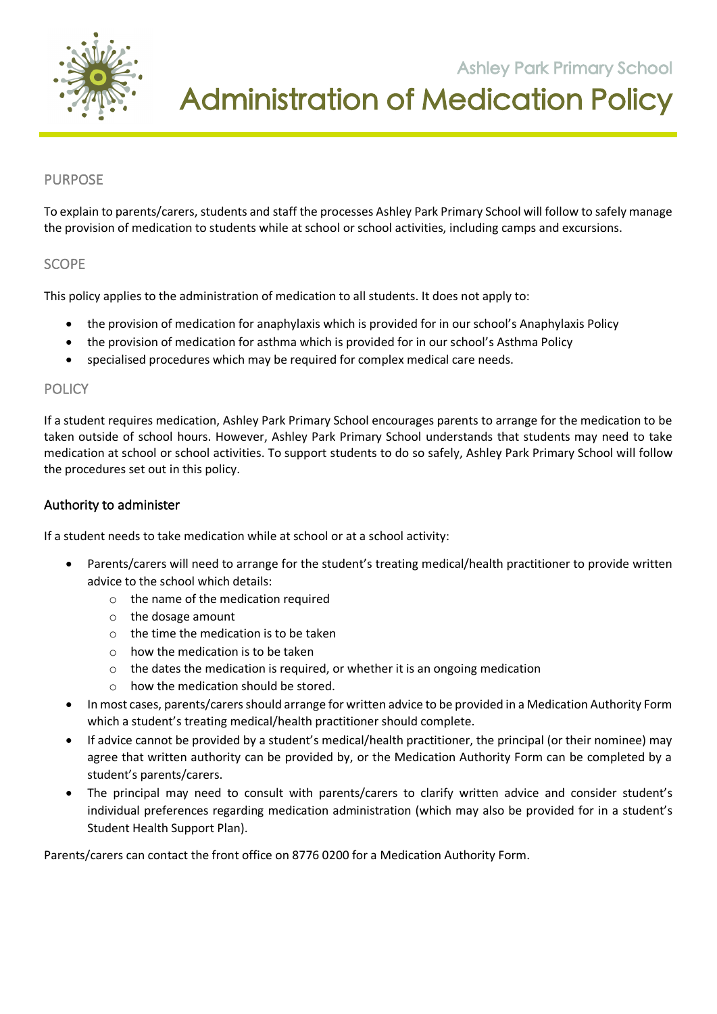

**Ashley Park Primary School** Administration of Medication Policy

**105 Orchard Road Doreen 3754**

### PURPOSE

To explain to parents/carers, students and staff the processes Ashley Park Primary School will follow to safely manage the provision of medication to students while at school or school activities, including camps and excursions.

#### SCOPE

This policy applies to the administration of medication to all students. It does not apply to:

- the provision of medication for anaphylaxis which is provided for in our school's Anaphylaxis Policy
- the provision of medication for asthma which is provided for in our school's Asthma Policy
- specialised procedures which may be required for complex medical care needs.

#### POLICY

If a student requires medication, Ashley Park Primary School encourages parents to arrange for the medication to be taken outside of school hours. However, Ashley Park Primary School understands that students may need to take medication at school or school activities. To support students to do so safely, Ashley Park Primary School will follow the procedures set out in this policy.

#### Authority to administer

If a student needs to take medication while at school or at a school activity:

- Parents/carers will need to arrange for the student's treating medical/health practitioner to provide written advice to the school which details:
	- o the name of the medication required
	- o the dosage amount
	- o the time the medication is to be taken
	- o how the medication is to be taken
	- $\circ$  the dates the medication is required, or whether it is an ongoing medication
	- o how the medication should be stored.
- In most cases, parents/carers should arrange for written advice to be provided in a Medication Authority Form which a student's treating medical/health practitioner should complete.
- If advice cannot be provided by a student's medical/health practitioner, the principal (or their nominee) may agree that written authority can be provided by, or the Medication Authority Form can be completed by a student's parents/carers.
- The principal may need to consult with parents/carers to clarify written advice and consider student's individual preferences regarding medication administration (which may also be provided for in a student's Student Health Support Plan).

Parents/carers can contact the front office on 8776 0200 for a Medication Authority Form.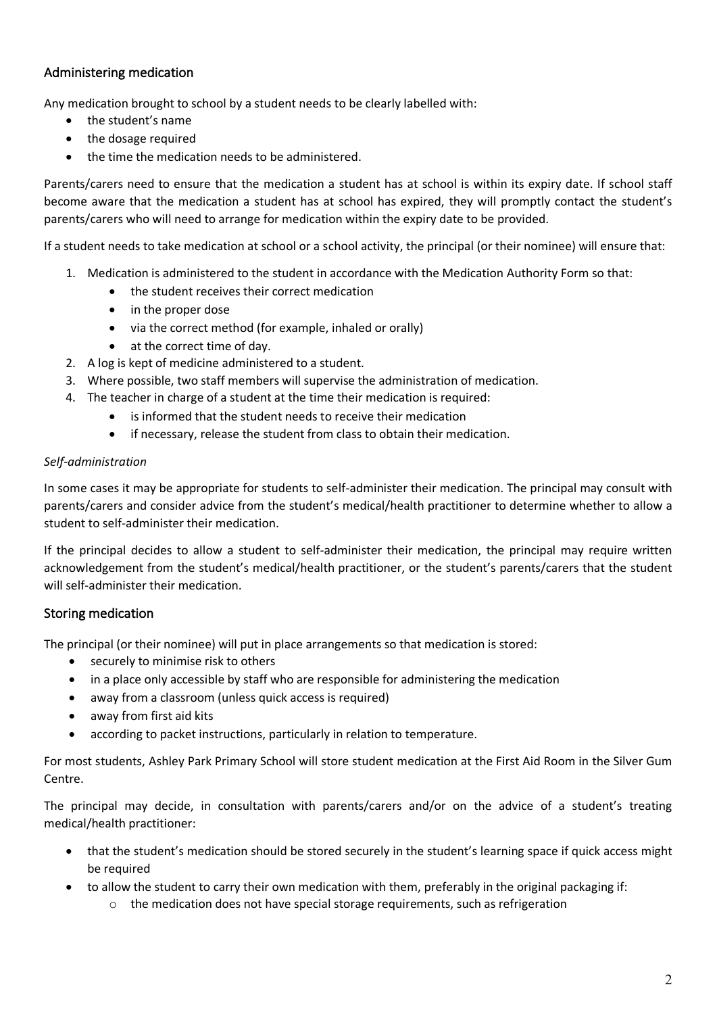### Administering medication

Any medication brought to school by a student needs to be clearly labelled with:

- the student's name
- the dosage required
- the time the medication needs to be administered.

Parents/carers need to ensure that the medication a student has at school is within its expiry date. If school staff become aware that the medication a student has at school has expired, they will promptly contact the student's parents/carers who will need to arrange for medication within the expiry date to be provided.

If a student needs to take medication at school or a school activity, the principal (or their nominee) will ensure that:

- 1. Medication is administered to the student in accordance with the Medication Authority Form so that:
	- the student receives their correct medication
	- in the proper dose
	- via the correct method (for example, inhaled or orally)
	- at the correct time of day.
- 2. A log is kept of medicine administered to a student.
- 3. Where possible, two staff members will supervise the administration of medication.
- 4. The teacher in charge of a student at the time their medication is required:
	- is informed that the student needs to receive their medication
	- if necessary, release the student from class to obtain their medication.

#### *Self-administration*

In some cases it may be appropriate for students to self-administer their medication. The principal may consult with parents/carers and consider advice from the student's medical/health practitioner to determine whether to allow a student to self-administer their medication.

If the principal decides to allow a student to self-administer their medication, the principal may require written acknowledgement from the student's medical/health practitioner, or the student's parents/carers that the student will self-administer their medication.

#### Storing medication

The principal (or their nominee) will put in place arrangements so that medication is stored:

- securely to minimise risk to others
- in a place only accessible by staff who are responsible for administering the medication
- away from a classroom (unless quick access is required)
- away from first aid kits
- according to packet instructions, particularly in relation to temperature.

For most students, Ashley Park Primary School will store student medication at the First Aid Room in the Silver Gum Centre.

The principal may decide, in consultation with parents/carers and/or on the advice of a student's treating medical/health practitioner:

- that the student's medication should be stored securely in the student's learning space if quick access might be required
- to allow the student to carry their own medication with them, preferably in the original packaging if:
	- the medication does not have special storage requirements, such as refrigeration